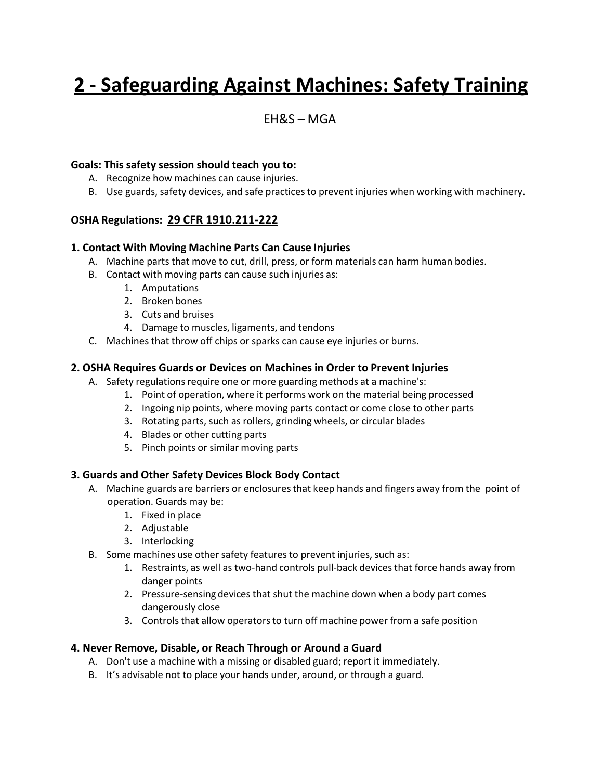# **2 - Safeguarding Against Machines: Safety Training**

### $FHRS - MGA$

#### **Goals: This safety session should teach you to:**

- A. Recognize how machines can cause injuries.
- B. Use guards, safety devices, and safe practicesto prevent injuries when working with machinery.

#### **OSHA Regulations: 29 CFR 1910.211-222**

#### **1. Contact With Moving Machine Parts Can Cause Injuries**

- A. Machine parts that move to cut, drill, press, or form materials can harm human bodies.
- B. Contact with moving parts can cause such injuries as:
	- 1. Amputations
	- 2. Broken bones
	- 3. Cuts and bruises
	- 4. Damage to muscles, ligaments, and tendons
- C. Machines that throw off chips or sparks can cause eye injuries or burns.

#### **2. OSHA Requires Guards or Devices on Machines in Order to Prevent Injuries**

- A. Safety regulations require one or more guarding methods at a machine's:
	- 1. Point of operation, where it performs work on the material being processed
	- 2. Ingoing nip points, where moving parts contact or come close to other parts
	- 3. Rotating parts, such as rollers, grinding wheels, or circular blades
	- 4. Blades or other cutting parts
	- 5. Pinch points or similar moving parts

#### **3. Guards and Other Safety Devices Block Body Contact**

- A. Machine guards are barriers or enclosures that keep hands and fingers away from the point of operation. Guards may be:
	- 1. Fixed in place
	- 2. Adjustable
	- 3. Interlocking
- B. Some machines use other safety features to prevent injuries, such as:
	- 1. Restraints, as well as two-hand controls pull-back devicesthat force hands away from danger points
	- 2. Pressure-sensing devices that shut the machine down when a body part comes dangerously close
	- 3. Controls that allow operators to turn off machine power from a safe position

#### **4. Never Remove, Disable, or Reach Through or Around a Guard**

- A. Don't use a machine with a missing or disabled guard; report it immediately.
- B. It's advisable not to place your hands under, around, or through a guard.